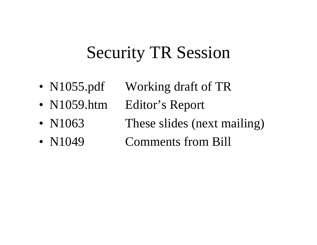# Security TR Session

- N1055.pdf Working draft of TR
- N1059.htm Editor's Report
- 
- 
- 
- N1063 These slides (next mailing)
- N1049 Comments from Bill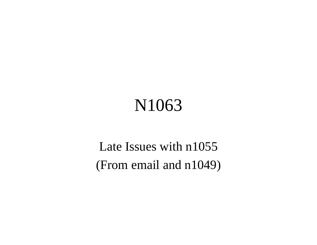# N1063

Late Issues with n1055 (From email and n1049)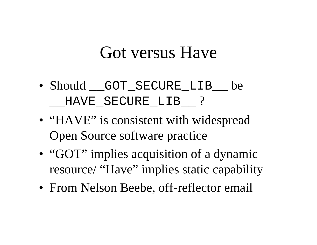### Got versus Have

- Should GOT SECURE LIB be HAVE SECURE LIB ?
- "HAVE" is consistent with widespread Open Source software practice
- "GOT" implies acquisition of a dynamic resource/ "Have" implies static capability
- From Nelson Beebe, off-reflector email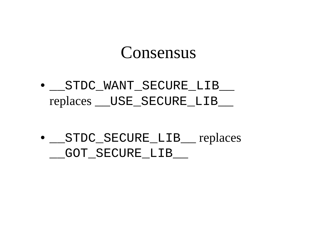#### Consensus

• \_\_STDC\_WANT\_SECURE\_LIB\_\_ replaces \_\_USE\_SECURE\_LIB\_\_

• STDC\_SECURE\_LIB\_ replaces GOT SECURE LIB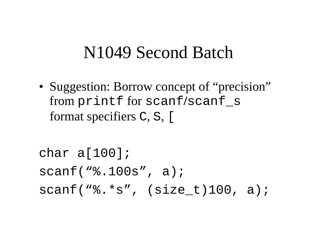#### N1049 Second Batch

• Suggestion: Borrow concept of "precision" from printf for scanf**/**scanf\_s format specifiers C, S, [

```
char a[100];
scanf("%.100s", a);
scanf("8.*s", (size t)100, a);
```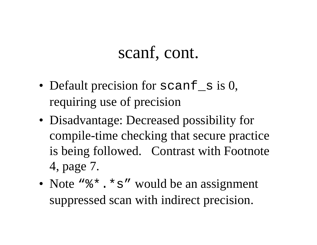#### scanf, cont.

- Default precision for scanf s is 0, requiring use of precision
- Disadvantage: Decreased possibility for compile-time checking that secure practice is being followed. Contrast with Footnote 4, page 7.
- Note "%\*. \* s" would be an assignment suppressed scan with indirect precision.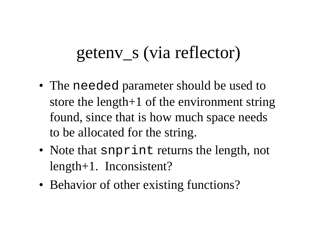# getenv\_s (via reflector)

- The needed parameter should be used to store the length+1 of the environment string found, since that is how much space needs to be allocated for the string.
- Note that snprint returns the length, not length+1. Inconsistent?
- Behavior of other existing functions?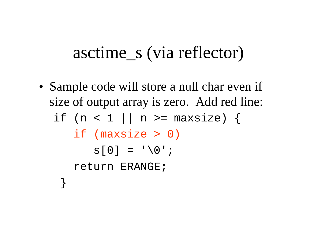## asctime\_s (via reflector)

• Sample code will store a null char even if size of output array is zero. Add red line: if (n < 1 || n >=  $maxsize$ ) { if (maxsize > 0)  $s[0] = ' \ 0';$  return ERANGE; }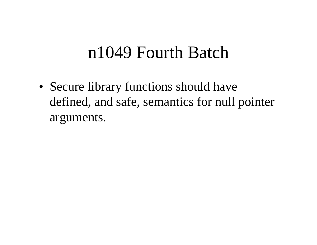### n1049 Fourth Batch

• Secure library functions should have defined, and safe, semantics for null pointer arguments.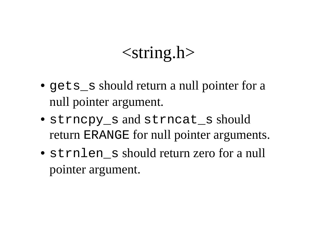## $\langle$ string.h $>$

- gets should return a null pointer for a null pointer argument.
- strncpy\_s and strncat\_s should return ERANGE for null pointer arguments.
- strnlen s should return zero for a null pointer argument.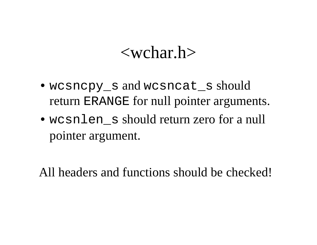#### <wchar.h>

- wcsncpy s and wcsncat s should return ERANGE for null pointer arguments.
- wcsnlen s should return zero for a null pointer argument.

All headers and functions should be checked!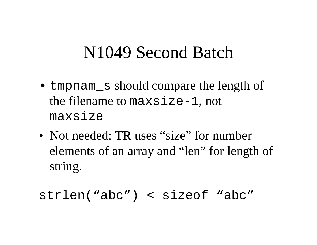### N1049 Second Batch

- tmpnam s should compare the length of the filename to maxsize-1, not maxsize
- Not needed: TR uses "size" for number elements of an array and "len" for length of string.

strlen("abc") < sizeof "abc"